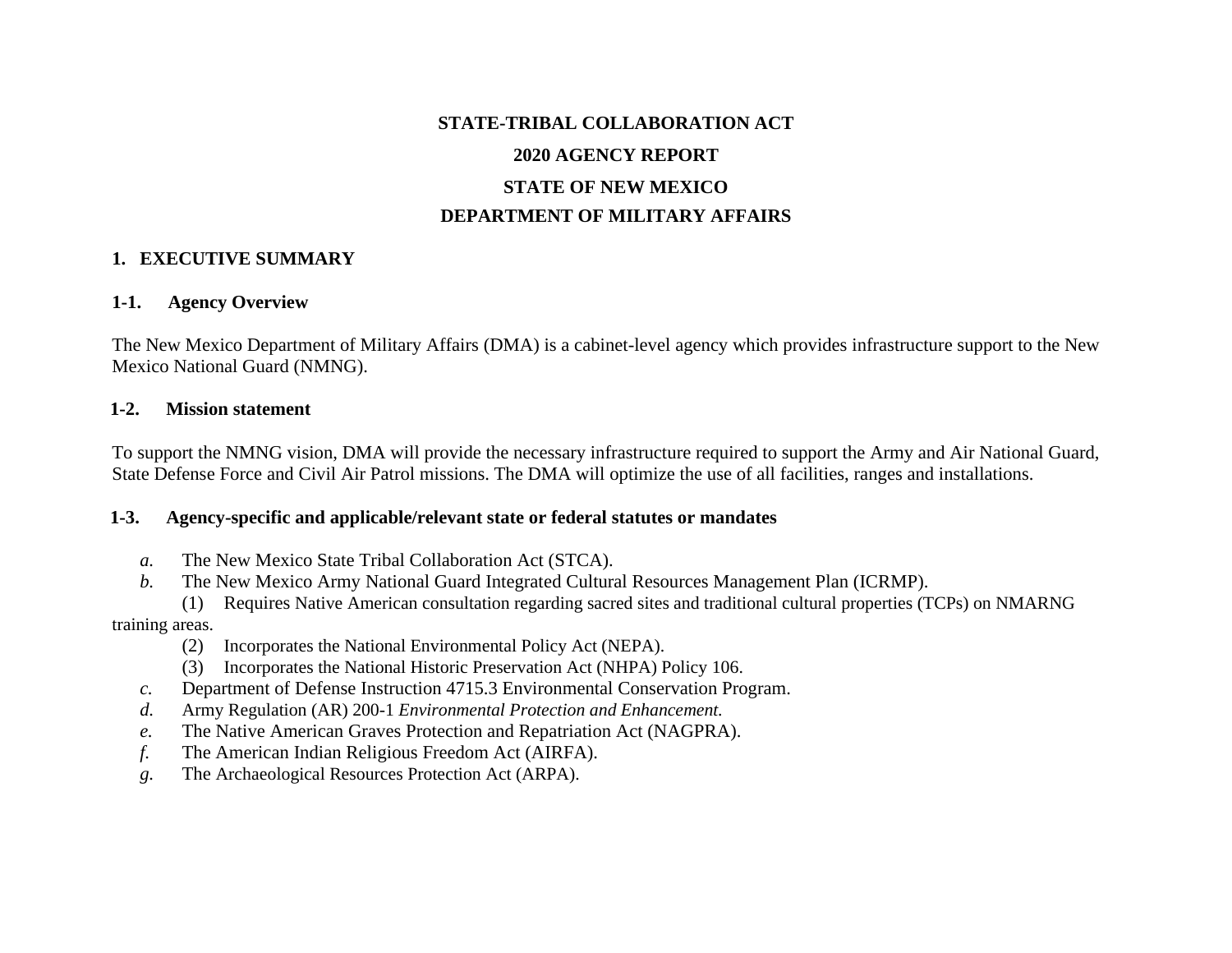# **STATE-TRIBAL COLLABORATION ACT 2020 AGENCY REPORT STATE OF NEW MEXICO DEPARTMENT OF MILITARY AFFAIRS**

### **1. EXECUTIVE SUMMARY**

#### **1-1. Agency Overview**

The New Mexico Department of Military Affairs (DMA) is a cabinet-level agency which provides infrastructure support to the New Mexico National Guard (NMNG).

#### **1-2. Mission statement**

To support the NMNG vision, DMA will provide the necessary infrastructure required to support the Army and Air National Guard, State Defense Force and Civil Air Patrol missions. The DMA will optimize the use of all facilities, ranges and installations.

#### **1-3. Agency-specific and applicable/relevant state or federal statutes or mandates**

- *a.* The New Mexico State Tribal Collaboration Act (STCA).
- *b.* The New Mexico Army National Guard Integrated Cultural Resources Management Plan (ICRMP).
- (1) Requires Native American consultation regarding sacred sites and traditional cultural properties (TCPs) on NMARNG training areas.
	- (2) Incorporates the National Environmental Policy Act (NEPA).
	- (3) Incorporates the National Historic Preservation Act (NHPA) Policy 106.
	- *c.* Department of Defense Instruction 4715.3 Environmental Conservation Program.
	- *d.* Army Regulation (AR) 200-1 *Environmental Protection and Enhancement.*
	- *e.* The Native American Graves Protection and Repatriation Act (NAGPRA).
	- *f.* The American Indian Religious Freedom Act (AIRFA).
	- *g.* The Archaeological Resources Protection Act (ARPA).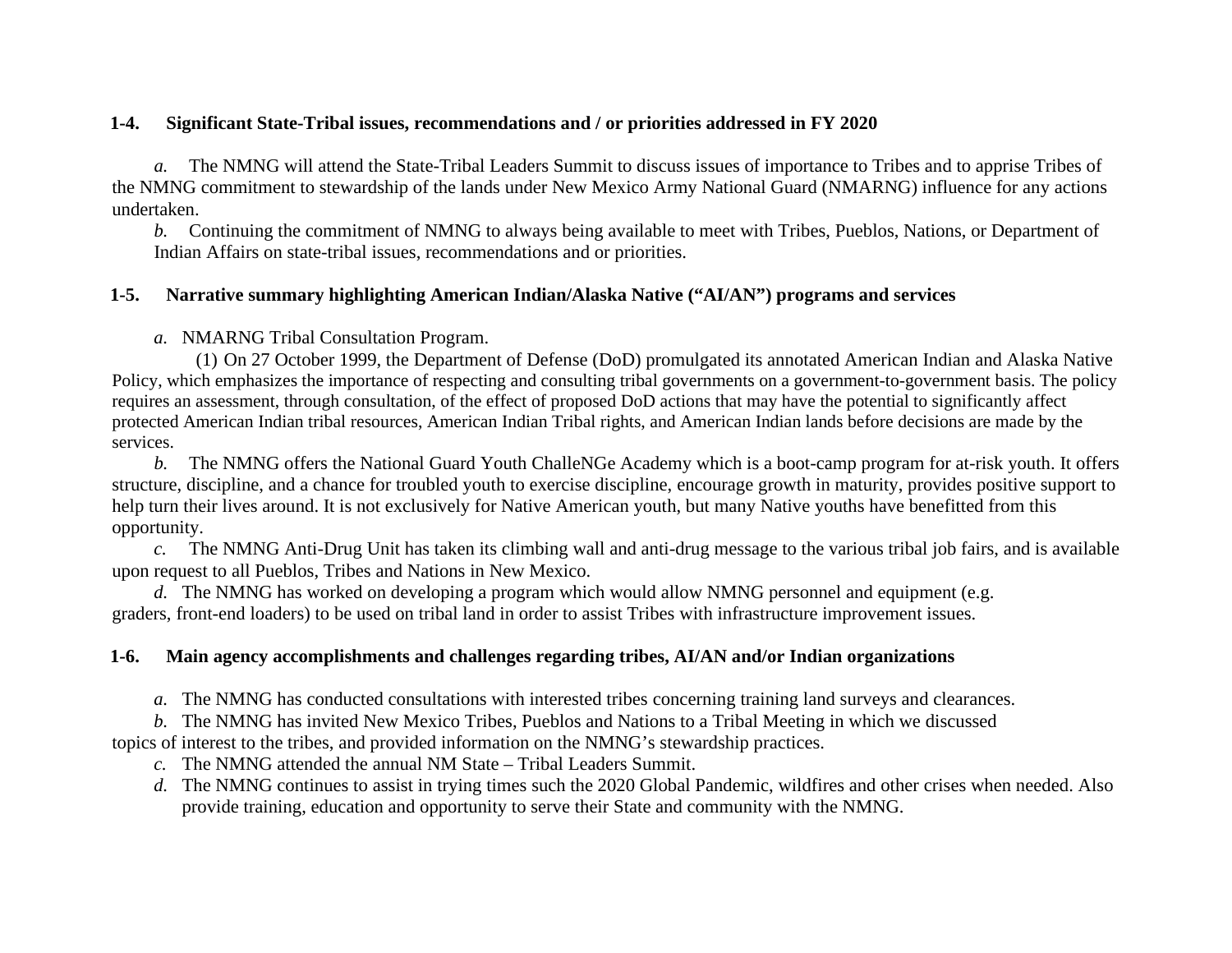### **1-4. Significant State-Tribal issues, recommendations and / or priorities addressed in FY 2020**

*a.* The NMNG will attend the State-Tribal Leaders Summit to discuss issues of importance to Tribes and to apprise Tribes of the NMNG commitment to stewardship of the lands under New Mexico Army National Guard (NMARNG) influence for any actions undertaken.

*b.* Continuing the commitment of NMNG to always being available to meet with Tribes, Pueblos, Nations, or Department of Indian Affairs on state-tribal issues, recommendations and or priorities.

### **1-5. Narrative summary highlighting American Indian/Alaska Native ("AI/AN") programs and services**

*a.* NMARNG Tribal Consultation Program.

(1) On 27 October 1999, the Department of Defense (DoD) promulgated its annotated American Indian and Alaska Native Policy, which emphasizes the importance of respecting and consulting tribal governments on a government-to-government basis. The policy requires an assessment, through consultation, of the effect of proposed DoD actions that may have the potential to significantly affect protected American Indian tribal resources, American Indian Tribal rights, and American Indian lands before decisions are made by the services.

*b.* The NMNG offers the National Guard Youth ChalleNGe Academy which is a boot-camp program for at-risk youth. It offers structure, discipline, and a chance for troubled youth to exercise discipline, encourage growth in maturity, provides positive support to help turn their lives around. It is not exclusively for Native American youth, but many Native youths have benefitted from this opportunity.

*c.* The NMNG Anti-Drug Unit has taken its climbing wall and anti-drug message to the various tribal job fairs, and is available upon request to all Pueblos, Tribes and Nations in New Mexico.

*d.* The NMNG has worked on developing a program which would allow NMNG personnel and equipment (e.g. graders, front-end loaders) to be used on tribal land in order to assist Tribes with infrastructure improvement issues.

### **1-6. Main agency accomplishments and challenges regarding tribes, AI/AN and/or Indian organizations**

*a.* The NMNG has conducted consultations with interested tribes concerning training land surveys and clearances.

*b.* The NMNG has invited New Mexico Tribes, Pueblos and Nations to a Tribal Meeting in which we discussed

topics of interest to the tribes, and provided information on the NMNG's stewardship practices.

*c.* The NMNG attended the annual NM State – Tribal Leaders Summit.

*d.* The NMNG continues to assist in trying times such the 2020 Global Pandemic, wildfires and other crises when needed. Also provide training, education and opportunity to serve their State and community with the NMNG.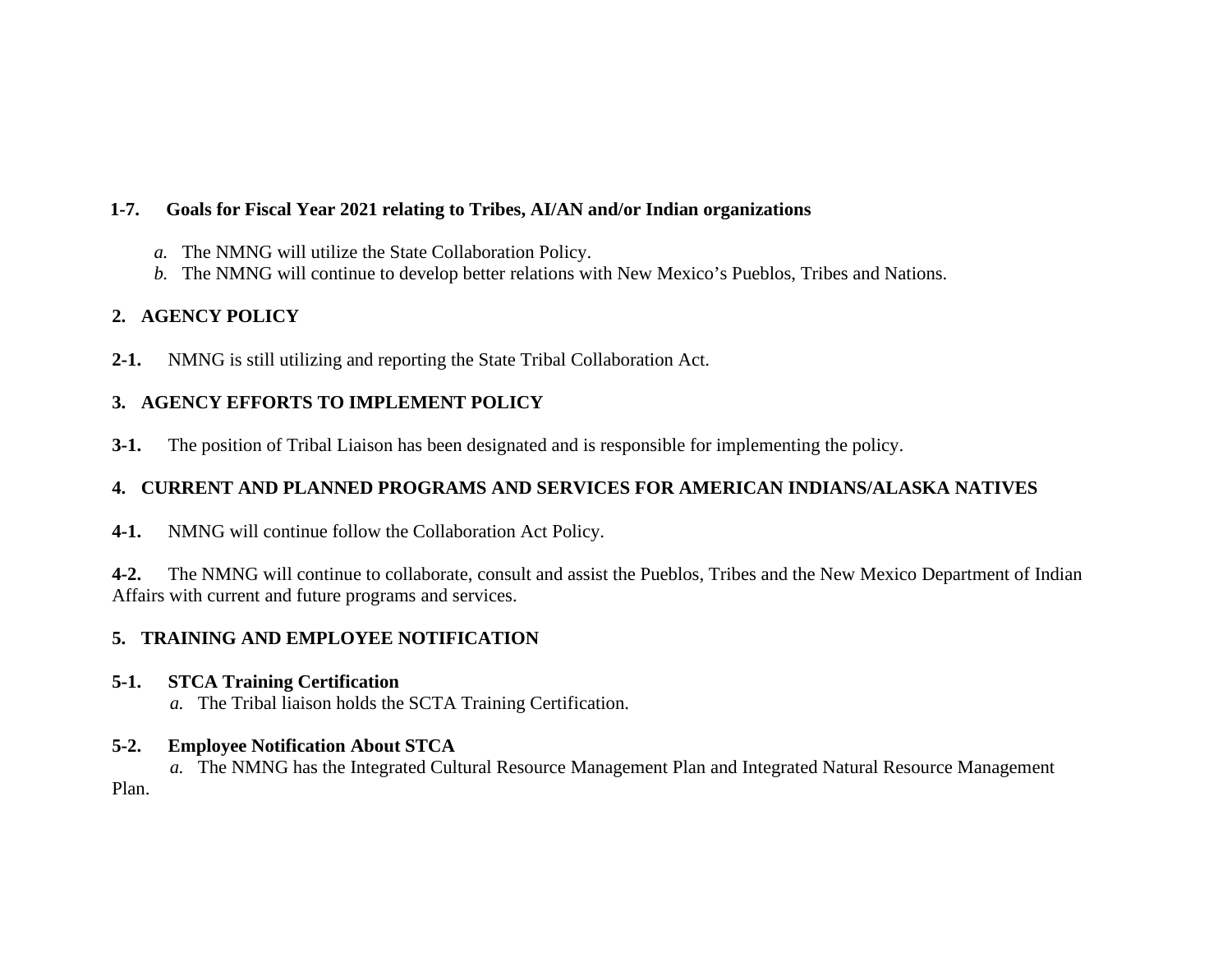### **1-7. Goals for Fiscal Year 2021 relating to Tribes, AI/AN and/or Indian organizations**

- *a.* The NMNG will utilize the State Collaboration Policy.
- *b.* The NMNG will continue to develop better relations with New Mexico's Pueblos, Tribes and Nations.

# **2. AGENCY POLICY**

**2-1.** NMNG is still utilizing and reporting the State Tribal Collaboration Act.

# **3. AGENCY EFFORTS TO IMPLEMENT POLICY**

**3-1.** The position of Tribal Liaison has been designated and is responsible for implementing the policy.

# **4. CURRENT AND PLANNED PROGRAMS AND SERVICES FOR AMERICAN INDIANS/ALASKA NATIVES**

**4-1.** NMNG will continue follow the Collaboration Act Policy.

**4-2.** The NMNG will continue to collaborate, consult and assist the Pueblos, Tribes and the New Mexico Department of Indian Affairs with current and future programs and services.

# **5. TRAINING AND EMPLOYEE NOTIFICATION**

# **5-1. STCA Training Certification**

*a.* The Tribal liaison holds the SCTA Training Certification.

# **5-2. Employee Notification About STCA**

*a.* The NMNG has the Integrated Cultural Resource Management Plan and Integrated Natural Resource Management Plan.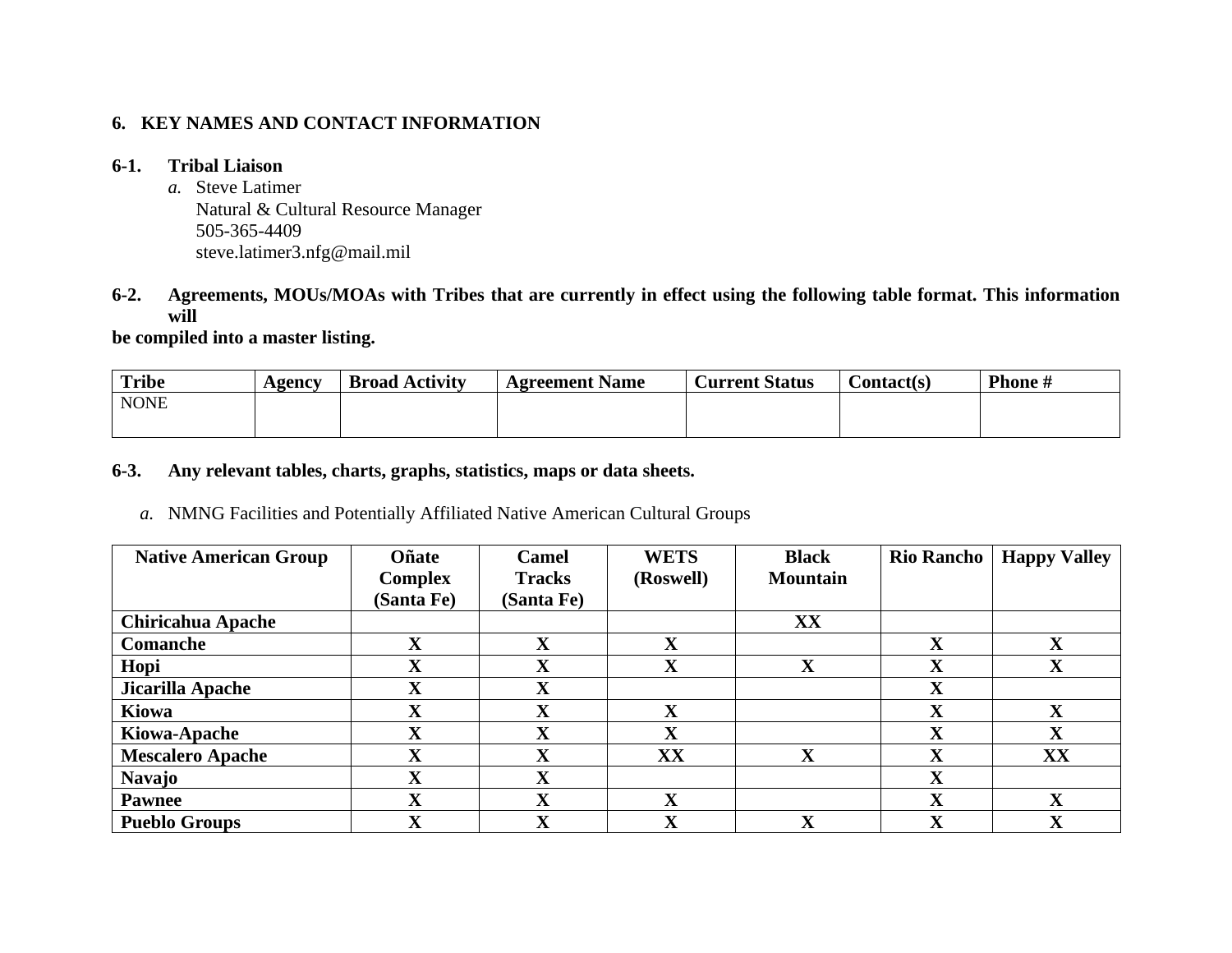### **6. KEY NAMES AND CONTACT INFORMATION**

### **6-1. Tribal Liaison**

*a.* Steve Latimer Natural & Cultural Resource Manager 505-365-4409 steve.latimer3.nfg@mail.mil

### **6-2. Agreements, MOUs/MOAs with Tribes that are currently in effect using the following table format. This information will**

**be compiled into a master listing.** 

| <b>Tribe</b> | Agency | <b>Broad Activity</b> | <b>Agreement Name</b> | <b>Current Status</b> | $\mathcal{L}$ ontact(s) | <b>Phone</b> # |
|--------------|--------|-----------------------|-----------------------|-----------------------|-------------------------|----------------|
| <b>NONE</b>  |        |                       |                       |                       |                         |                |
|              |        |                       |                       |                       |                         |                |

#### **6-3. Any relevant tables, charts, graphs, statistics, maps or data sheets.**

*a.* NMNG Facilities and Potentially Affiliated Native American Cultural Groups

| <b>Native American Group</b> | Oñate          | Camel         | <b>WETS</b> | <b>Black</b>            | <b>Rio Rancho</b>         | <b>Happy Valley</b> |
|------------------------------|----------------|---------------|-------------|-------------------------|---------------------------|---------------------|
|                              | <b>Complex</b> | <b>Tracks</b> | (Roswell)   | <b>Mountain</b>         |                           |                     |
|                              | (Santa Fe)     | (Santa Fe)    |             |                         |                           |                     |
| <b>Chiricahua Apache</b>     |                |               |             | XX                      |                           |                     |
| <b>Comanche</b>              | $\mathbf X$    | $\mathbf X$   | $\mathbf X$ |                         | $\mathbf X$               | X                   |
| Hopi                         | $\mathbf X$    | $\mathbf X$   | $\mathbf X$ | $\overline{\mathbf{X}}$ | v<br>A                    | X                   |
| Jicarilla Apache             | $\mathbf X$    | $\mathbf X$   |             |                         | $\mathbf X$               |                     |
| Kiowa                        | $\mathbf X$    | $\mathbf X$   | X           |                         | $\mathbf X$               | X                   |
| Kiowa-Apache                 | $\mathbf X$    | $\mathbf X$   | X           |                         | X                         | X                   |
| <b>Mescalero Apache</b>      | $\mathbf X$    | $\mathbf X$   | XX          | $\mathbf X$             | $\mathbf{v}$<br>$\Lambda$ | XX                  |
| <b>Navajo</b>                | $\mathbf X$    | $\mathbf X$   |             |                         | $\overline{\mathbf{X}}$   |                     |
| <b>Pawnee</b>                | X              | $\mathbf X$   | X           |                         | X                         | X                   |
| <b>Pueblo Groups</b>         | $\mathbf X$    | $\mathbf X$   | $\mathbf X$ | $\overline{\mathbf{X}}$ | $\mathbf X$               | X                   |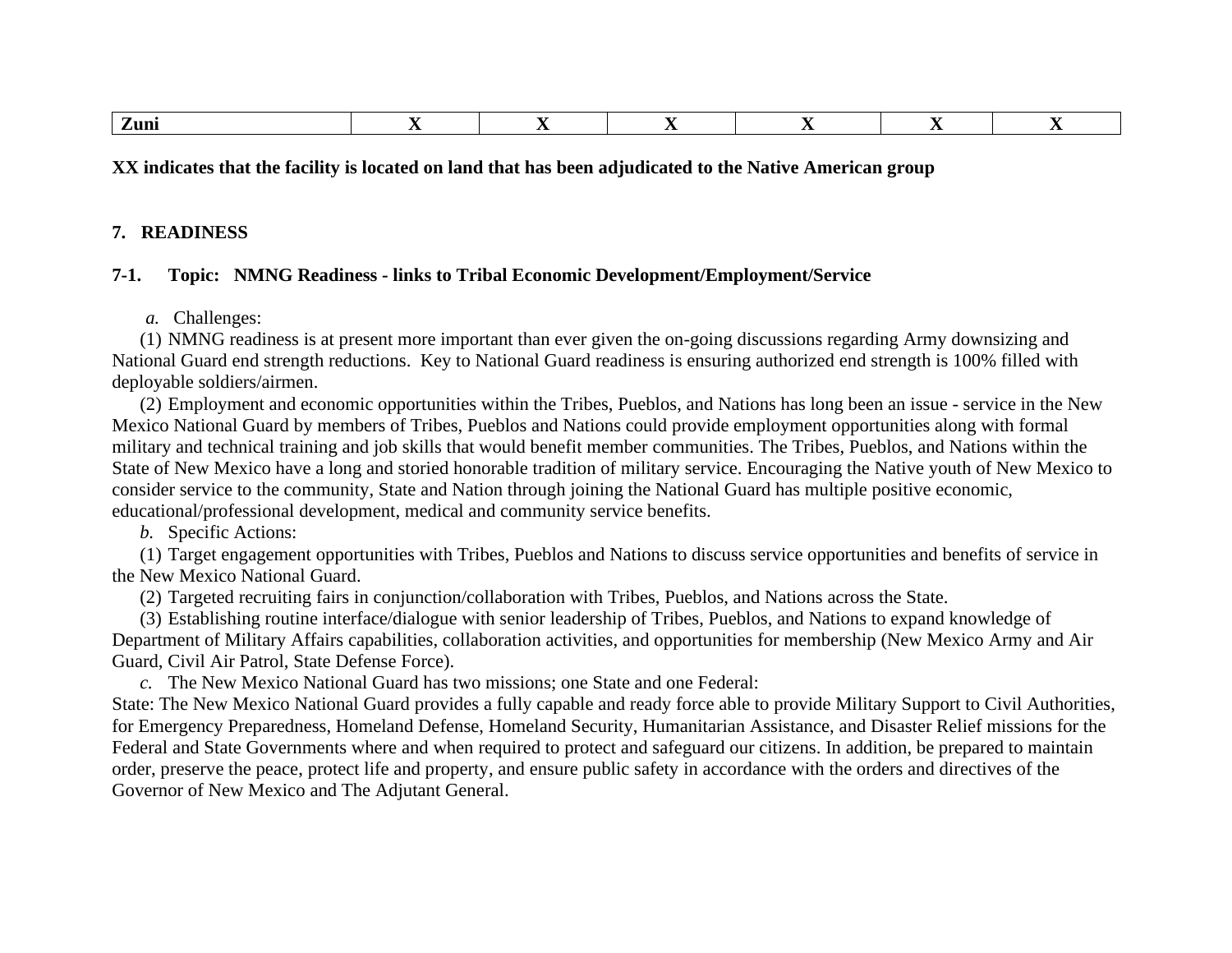|--|--|--|--|--|--|--|

**XX indicates that the facility is located on land that has been adjudicated to the Native American group**

#### **7. READINESS**

#### **7-1. Topic: NMNG Readiness - links to Tribal Economic Development/Employment/Service**

*a.* Challenges:

(1) NMNG readiness is at present more important than ever given the on-going discussions regarding Army downsizing and National Guard end strength reductions. Key to National Guard readiness is ensuring authorized end strength is 100% filled with deployable soldiers/airmen.

(2) Employment and economic opportunities within the Tribes, Pueblos, and Nations has long been an issue - service in the New Mexico National Guard by members of Tribes, Pueblos and Nations could provide employment opportunities along with formal military and technical training and job skills that would benefit member communities. The Tribes, Pueblos, and Nations within the State of New Mexico have a long and storied honorable tradition of military service. Encouraging the Native youth of New Mexico to consider service to the community, State and Nation through joining the National Guard has multiple positive economic, educational/professional development, medical and community service benefits.

*b.* Specific Actions:

(1) Target engagement opportunities with Tribes, Pueblos and Nations to discuss service opportunities and benefits of service in the New Mexico National Guard.

(2) Targeted recruiting fairs in conjunction/collaboration with Tribes, Pueblos, and Nations across the State.

(3) Establishing routine interface/dialogue with senior leadership of Tribes, Pueblos, and Nations to expand knowledge of Department of Military Affairs capabilities, collaboration activities, and opportunities for membership (New Mexico Army and Air Guard, Civil Air Patrol, State Defense Force).

*c.* The New Mexico National Guard has two missions; one State and one Federal:

State: The New Mexico National Guard provides a fully capable and ready force able to provide Military Support to Civil Authorities, for Emergency Preparedness, Homeland Defense, Homeland Security, Humanitarian Assistance, and Disaster Relief missions for the Federal and State Governments where and when required to protect and safeguard our citizens. In addition, be prepared to maintain order, preserve the peace, protect life and property, and ensure public safety in accordance with the orders and directives of the Governor of New Mexico and The Adjutant General.